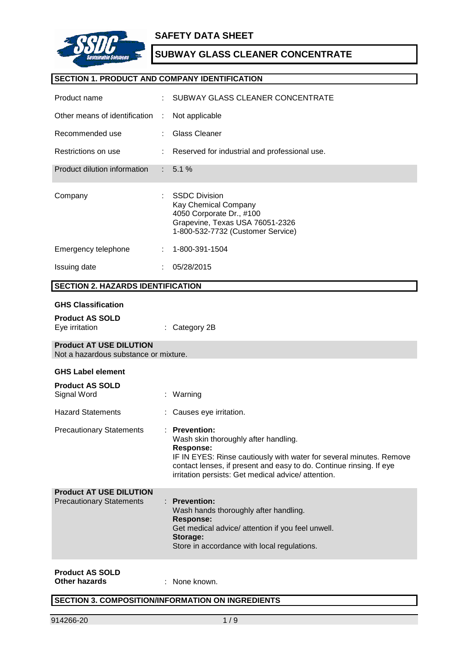

### **SAFETY DATA SHEET**

# **SUBWAY GLASS CLEANER CONCENTRATE**

### **SECTION 1. PRODUCT AND COMPANY IDENTIFICATION**

| Product name                                                            |    | SUBWAY GLASS CLEANER CONCENTRATE                                                                                                                                                                                                                                               |
|-------------------------------------------------------------------------|----|--------------------------------------------------------------------------------------------------------------------------------------------------------------------------------------------------------------------------------------------------------------------------------|
| Other means of identification                                           | ÷  | Not applicable                                                                                                                                                                                                                                                                 |
| Recommended use                                                         |    | <b>Glass Cleaner</b>                                                                                                                                                                                                                                                           |
| Restrictions on use                                                     |    | Reserved for industrial and professional use.                                                                                                                                                                                                                                  |
| Product dilution information                                            |    | 5.1%                                                                                                                                                                                                                                                                           |
| Company                                                                 |    | <b>SSDC Division</b><br>Kay Chemical Company<br>4050 Corporate Dr., #100<br>Grapevine, Texas USA 76051-2326<br>1-800-532-7732 (Customer Service)                                                                                                                               |
| Emergency telephone                                                     |    | 1-800-391-1504                                                                                                                                                                                                                                                                 |
| Issuing date                                                            |    | 05/28/2015                                                                                                                                                                                                                                                                     |
| <b>SECTION 2. HAZARDS IDENTIFICATION</b>                                |    |                                                                                                                                                                                                                                                                                |
| <b>GHS Classification</b><br><b>Product AS SOLD</b><br>Eye irritation   |    | Category 2B                                                                                                                                                                                                                                                                    |
| <b>Product AT USE DILUTION</b><br>Not a hazardous substance or mixture. |    |                                                                                                                                                                                                                                                                                |
| <b>GHS Label element</b><br><b>Product AS SOLD</b><br>Signal Word       | ÷. | Warning                                                                                                                                                                                                                                                                        |
| <b>Hazard Statements</b>                                                |    | Causes eye irritation.                                                                                                                                                                                                                                                         |
| <b>Precautionary Statements</b>                                         |    | : Prevention:<br>Wash skin thoroughly after handling.<br><b>Response:</b><br>IF IN EYES: Rinse cautiously with water for several minutes. Remove<br>contact lenses, if present and easy to do. Continue rinsing. If eye<br>irritation persists: Get medical advice/ attention. |
| <b>Product AT USE DILUTION</b><br><b>Precautionary Statements</b>       |    | <b>Prevention:</b><br>Wash hands thoroughly after handling.<br><b>Response:</b><br>Get medical advice/ attention if you feel unwell.<br>Storage:<br>Store in accordance with local regulations.                                                                                |
|                                                                         |    |                                                                                                                                                                                                                                                                                |

**Other hazards** : None known.

### **SECTION 3. COMPOSITION/INFORMATION ON INGREDIENTS**

**Other hazards**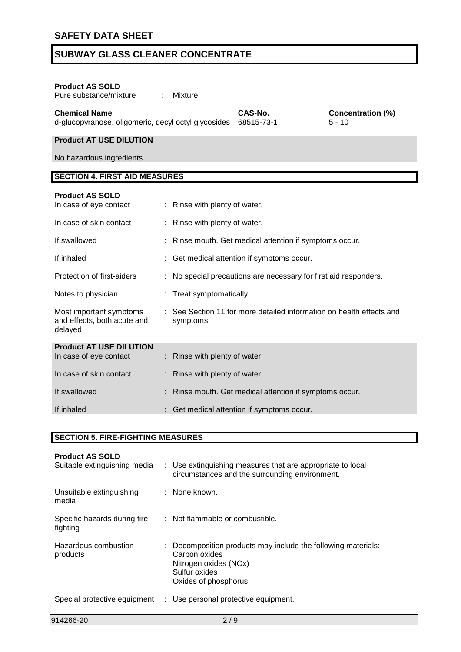| <b>Product AS SOLD</b><br>Pure substance/mixture                            | ÷ | Mixture                       |                                                                    |                                      |
|-----------------------------------------------------------------------------|---|-------------------------------|--------------------------------------------------------------------|--------------------------------------|
| <b>Chemical Name</b><br>d-glucopyranose, oligomeric, decyl octyl glycosides |   |                               | CAS-No.<br>68515-73-1                                              | <b>Concentration (%)</b><br>$5 - 10$ |
| <b>Product AT USE DILUTION</b>                                              |   |                               |                                                                    |                                      |
| No hazardous ingredients                                                    |   |                               |                                                                    |                                      |
| <b>SECTION 4. FIRST AID MEASURES</b>                                        |   |                               |                                                                    |                                      |
| <b>Product AS SOLD</b><br>In case of eye contact                            |   | : Rinse with plenty of water. |                                                                    |                                      |
| In case of skin contact                                                     |   | : Rinse with plenty of water. |                                                                    |                                      |
| If swallowed                                                                |   |                               | Rinse mouth. Get medical attention if symptoms occur.              |                                      |
| If inhaled                                                                  |   |                               | Get medical attention if symptoms occur.                           |                                      |
| Protection of first-aiders                                                  |   |                               | No special precautions are necessary for first aid responders.     |                                      |
| Notes to physician                                                          |   | : Treat symptomatically.      |                                                                    |                                      |
| Most important symptoms<br>and effects, both acute and<br>delayed           |   | symptoms.                     | See Section 11 for more detailed information on health effects and |                                      |
| <b>Product AT USE DILUTION</b><br>In case of eye contact                    |   | Rinse with plenty of water.   |                                                                    |                                      |
| In case of skin contact                                                     |   | Rinse with plenty of water.   |                                                                    |                                      |
| If swallowed                                                                |   |                               | Rinse mouth. Get medical attention if symptoms occur.              |                                      |
| If inhaled                                                                  |   |                               | Get medical attention if symptoms occur.                           |                                      |

#### **SECTION 5. FIRE-FIGHTING MEASURES**

| <b>Product AS SOLD</b><br>Suitable extinguishing media | : Use extinguishing measures that are appropriate to local<br>circumstances and the surrounding environment.                                     |
|--------------------------------------------------------|--------------------------------------------------------------------------------------------------------------------------------------------------|
| Unsuitable extinguishing<br>media                      | : None known.                                                                                                                                    |
| Specific hazards during fire<br>fighting               | : Not flammable or combustible.                                                                                                                  |
| Hazardous combustion<br>products                       | : Decomposition products may include the following materials:<br>Carbon oxides<br>Nitrogen oxides (NOx)<br>Sulfur oxides<br>Oxides of phosphorus |
| Special protective equipment                           | : Use personal protective equipment.                                                                                                             |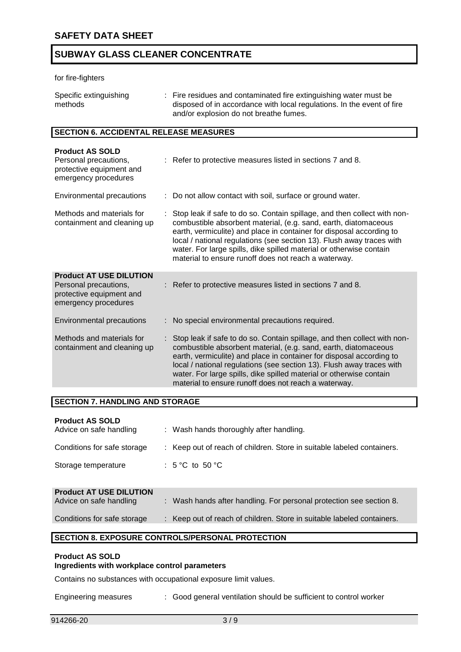#### for fire-fighters

| Specific extinguishing | : Fire residues and contaminated fire extinguishing water must be      |
|------------------------|------------------------------------------------------------------------|
| methods                | disposed of in accordance with local regulations. In the event of fire |
|                        | and/or explosion do not breathe fumes.                                 |

#### **SECTION 6. ACCIDENTAL RELEASE MEASURES**

| <b>Product AS SOLD</b><br>Personal precautions,<br>protective equipment and<br>emergency procedures         | : Refer to protective measures listed in sections 7 and 8.                                                                                                                                                                                                                                                                                                                                                                  |
|-------------------------------------------------------------------------------------------------------------|-----------------------------------------------------------------------------------------------------------------------------------------------------------------------------------------------------------------------------------------------------------------------------------------------------------------------------------------------------------------------------------------------------------------------------|
| Environmental precautions                                                                                   | : Do not allow contact with soil, surface or ground water.                                                                                                                                                                                                                                                                                                                                                                  |
| Methods and materials for<br>containment and cleaning up                                                    | Stop leak if safe to do so. Contain spillage, and then collect with non-<br>combustible absorbent material, (e.g. sand, earth, diatomaceous<br>earth, vermiculite) and place in container for disposal according to<br>local / national regulations (see section 13). Flush away traces with<br>water. For large spills, dike spilled material or otherwise contain<br>material to ensure runoff does not reach a waterway. |
| <b>Product AT USE DILUTION</b><br>Personal precautions,<br>protective equipment and<br>emergency procedures | : Refer to protective measures listed in sections 7 and 8.                                                                                                                                                                                                                                                                                                                                                                  |
| Environmental precautions                                                                                   | No special environmental precautions required.                                                                                                                                                                                                                                                                                                                                                                              |
| Methods and materials for<br>containment and cleaning up                                                    | Stop leak if safe to do so. Contain spillage, and then collect with non-<br>combustible absorbent material, (e.g. sand, earth, diatomaceous<br>earth, vermiculite) and place in container for disposal according to<br>local / national regulations (see section 13). Flush away traces with<br>water. For large spills, dike spilled material or otherwise contain<br>material to ensure runoff does not reach a waterway. |

#### **SECTION 7. HANDLING AND STORAGE**

| <b>Product AS SOLD</b><br>Advice on safe handling         | : Wash hands thoroughly after handling.                                |
|-----------------------------------------------------------|------------------------------------------------------------------------|
| Conditions for safe storage                               | : Keep out of reach of children. Store in suitable labeled containers. |
| Storage temperature                                       | : $5^{\circ}$ C to $50^{\circ}$ C                                      |
| <b>Product AT USE DILUTION</b><br>Advise on oofs bondling | . Week hande ofter handling. For personal protection assessed and      |

| <b>PIOGUCT AT USE DILUTION</b><br>Advice on safe handling | : Wash hands after handling. For personal protection see section 8.    |
|-----------------------------------------------------------|------------------------------------------------------------------------|
| Conditions for safe storage                               | : Keep out of reach of children. Store in suitable labeled containers. |

#### **SECTION 8. EXPOSURE CONTROLS/PERSONAL PROTECTION**

#### **Product AS SOLD**

### **Ingredients with workplace control parameters**

Contains no substances with occupational exposure limit values.

Engineering measures : Good general ventilation should be sufficient to control worker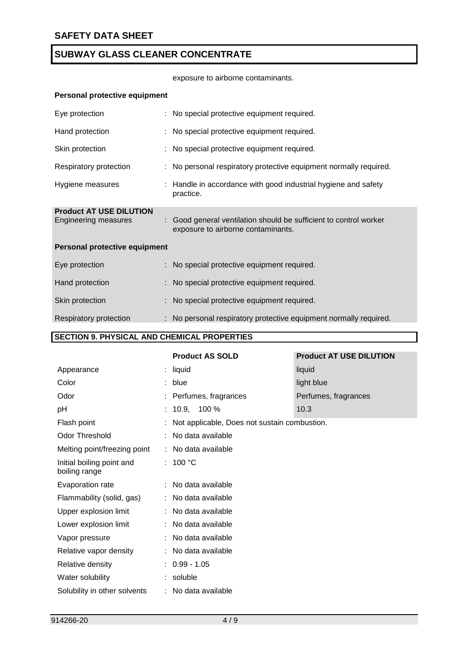exposure to airborne contaminants.

#### **Personal protective equipment**

| Eye protection                                                | : No special protective equipment required.                                                             |
|---------------------------------------------------------------|---------------------------------------------------------------------------------------------------------|
| Hand protection                                               | : No special protective equipment required.                                                             |
| Skin protection                                               | : No special protective equipment required.                                                             |
| Respiratory protection                                        | : No personal respiratory protective equipment normally required.                                       |
| Hygiene measures                                              | : Handle in accordance with good industrial hygiene and safety<br>practice.                             |
| <b>Product AT USE DILUTION</b><br><b>Engineering measures</b> | : Good general ventilation should be sufficient to control worker<br>exposure to airborne contaminants. |
| Personal protective equipment                                 |                                                                                                         |
| Eye protection                                                | : No special protective equipment required.                                                             |
| Hand protection                                               | : No special protective equipment required.                                                             |
| Skin protection                                               | : No special protective equipment required.                                                             |
| Respiratory protection                                        | : No personal respiratory protective equipment normally required.                                       |

### **SECTION 9. PHYSICAL AND CHEMICAL PROPERTIES**

|                                            | <b>Product AS SOLD</b>                       | <b>Product AT USE DILUTION</b> |
|--------------------------------------------|----------------------------------------------|--------------------------------|
| Appearance                                 | : liquid                                     | liquid                         |
| Color                                      | : blue                                       | light blue                     |
| Odor                                       | : Perfumes, fragrances                       | Perfumes, fragrances           |
| pH                                         | $: 10.9, 100\%$                              | 10.3                           |
| Flash point                                | Not applicable, Does not sustain combustion. |                                |
| <b>Odor Threshold</b>                      | : No data available                          |                                |
| Melting point/freezing point               | : No data available                          |                                |
| Initial boiling point and<br>boiling range | : $100 °C$                                   |                                |
| Evaporation rate                           | : No data available                          |                                |
| Flammability (solid, gas)                  | : No data available                          |                                |
| Upper explosion limit                      | : No data available                          |                                |
| Lower explosion limit                      | : No data available                          |                                |
| Vapor pressure                             | : No data available                          |                                |
| Relative vapor density                     | : No data available                          |                                |
| Relative density                           | $: 0.99 - 1.05$                              |                                |
| Water solubility                           | : soluble                                    |                                |
| Solubility in other solvents               | : No data available                          |                                |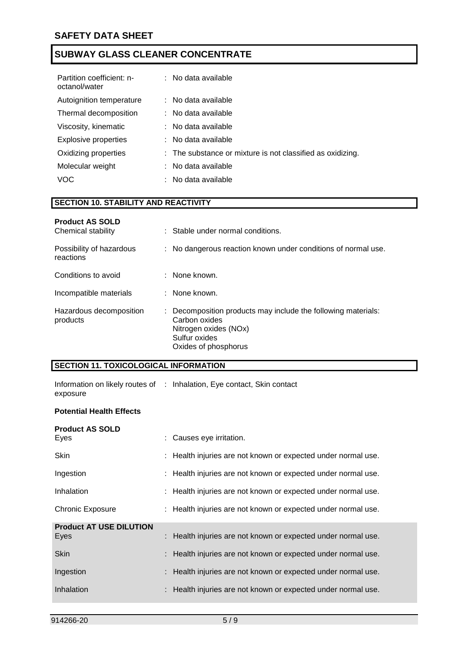| Partition coefficient: n-<br>octanol/water | : No data available                                        |
|--------------------------------------------|------------------------------------------------------------|
| Autoignition temperature                   | : No data available                                        |
| Thermal decomposition                      | $:$ No data available                                      |
| Viscosity, kinematic                       | $:$ No data available                                      |
| <b>Explosive properties</b>                | : No data available                                        |
| Oxidizing properties                       | : The substance or mixture is not classified as oxidizing. |
| Molecular weight                           | $:$ No data available                                      |
| VOC                                        | No data available                                          |

#### **SECTION 10. STABILITY AND REACTIVITY**

| <b>Product AS SOLD</b><br>Chemical stability | : Stable under normal conditions.                                                                                                                |
|----------------------------------------------|--------------------------------------------------------------------------------------------------------------------------------------------------|
| Possibility of hazardous<br>reactions        | : No dangerous reaction known under conditions of normal use.                                                                                    |
| Conditions to avoid                          | : None known.                                                                                                                                    |
| Incompatible materials                       | : None known.                                                                                                                                    |
| Hazardous decomposition<br>products          | : Decomposition products may include the following materials:<br>Carbon oxides<br>Nitrogen oxides (NOx)<br>Sulfur oxides<br>Oxides of phosphorus |

#### **SECTION 11. TOXICOLOGICAL INFORMATION**

Information on likely routes of : Inhalation, Eye contact, Skin contact exposure

#### **Potential Health Effects**

|   | : Causes eye irritation.                                      |
|---|---------------------------------------------------------------|
|   | : Health injuries are not known or expected under normal use. |
|   | : Health injuries are not known or expected under normal use. |
|   | : Health injuries are not known or expected under normal use. |
|   | : Health injuries are not known or expected under normal use. |
| ÷ | Health injuries are not known or expected under normal use.   |
|   | : Health injuries are not known or expected under normal use. |
|   | Health injuries are not known or expected under normal use.   |
|   | : Health injuries are not known or expected under normal use. |
|   |                                                               |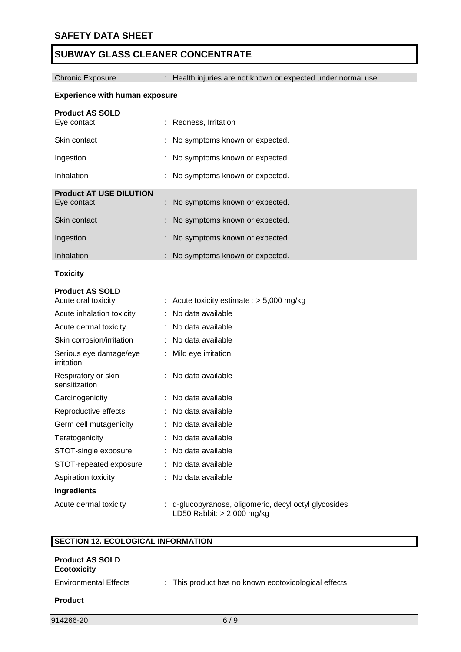Chronic Exposure : Health injuries are not known or expected under normal use.

#### **Experience with human exposure**

| <b>Product AS SOLD</b>         |                                  |
|--------------------------------|----------------------------------|
| Eye contact                    | : Redness, Irritation            |
| Skin contact                   | : No symptoms known or expected. |
| Ingestion                      | : No symptoms known or expected. |
| Inhalation                     | : No symptoms known or expected. |
| <b>Product AT USE DILUTION</b> |                                  |
| Eye contact                    | : No symptoms known or expected. |
| Skin contact                   | : No symptoms known or expected. |
| Ingestion                      | : No symptoms known or expected. |
| Inhalation                     | : No symptoms known or expected. |

**Toxicity**

### **Product AS SOLD**

| Acute oral toxicity                  | : Acute toxicity estimate : $>$ 5,000 mg/kg                                           |
|--------------------------------------|---------------------------------------------------------------------------------------|
| Acute inhalation toxicity            | No data available                                                                     |
| Acute dermal toxicity                | : No data available                                                                   |
| Skin corrosion/irritation            | : No data available                                                                   |
| Serious eye damage/eye<br>irritation | : Mild eye irritation                                                                 |
| Respiratory or skin<br>sensitization | : No data available                                                                   |
| Carcinogenicity                      | : No data available                                                                   |
| Reproductive effects                 | : No data available                                                                   |
| Germ cell mutagenicity               | : No data available                                                                   |
| Teratogenicity                       | No data available                                                                     |
| STOT-single exposure                 | : No data available                                                                   |
| STOT-repeated exposure               | : No data available                                                                   |
| Aspiration toxicity                  | : No data available                                                                   |
| <b>Ingredients</b>                   |                                                                                       |
| Acute dermal toxicity                | : d-glucopyranose, oligomeric, decyl octyl glycosides<br>LD50 Rabbit: $> 2,000$ mg/kg |

#### **SECTION 12. ECOLOGICAL INFORMATION**

| <b>Product AS SOLD</b><br><b>Ecotoxicity</b> |                                                       |
|----------------------------------------------|-------------------------------------------------------|
| <b>Environmental Effects</b>                 | : This product has no known ecotoxicological effects. |
| <b>Product</b>                               |                                                       |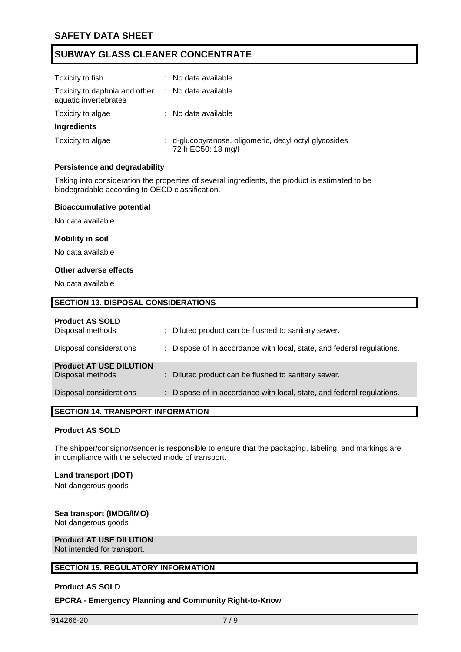| Toxicity to fish                                       | : No data available                                                         |
|--------------------------------------------------------|-----------------------------------------------------------------------------|
|                                                        |                                                                             |
| Toxicity to daphnia and other<br>aquatic invertebrates | : No data available                                                         |
| Toxicity to algae                                      | : No data available                                                         |
| Ingredients                                            |                                                                             |
| Toxicity to algae                                      | : d-glucopyranose, oligomeric, decyl octyl glycosides<br>72 h EC50: 18 mg/l |

#### **Persistence and degradability**

Taking into consideration the properties of several ingredients, the product is estimated to be biodegradable according to OECD classification.

#### **Bioaccumulative potential**

No data available

#### **Mobility in soil**

No data available

#### **Other adverse effects**

No data available

## **SECTION 13. DISPOSAL CONSIDERATIONS**

#### **Product AS SOLD**

| Disposal methods               | : Diluted product can be flushed to sanitary sewer.                    |
|--------------------------------|------------------------------------------------------------------------|
| Disposal considerations        | : Dispose of in accordance with local, state, and federal regulations. |
| <b>Product AT USE DILUTION</b> |                                                                        |
| Disposal methods               | : Diluted product can be flushed to sanitary sewer.                    |
| Disposal considerations        | : Dispose of in accordance with local, state, and federal regulations. |
|                                |                                                                        |

#### **SECTION 14. TRANSPORT INFORMATION**

#### **Product AS SOLD**

The shipper/consignor/sender is responsible to ensure that the packaging, labeling, and markings are in compliance with the selected mode of transport.

### **Land transport (DOT)**

Not dangerous goods

#### **Sea transport (IMDG/IMO)**

Not dangerous goods

#### **Product AT USE DILUTION** Not intended for transport.

# **SECTION 15. REGULATORY INFORMATION**

#### **Product AS SOLD**

#### **EPCRA - Emergency Planning and Community Right-to-Know**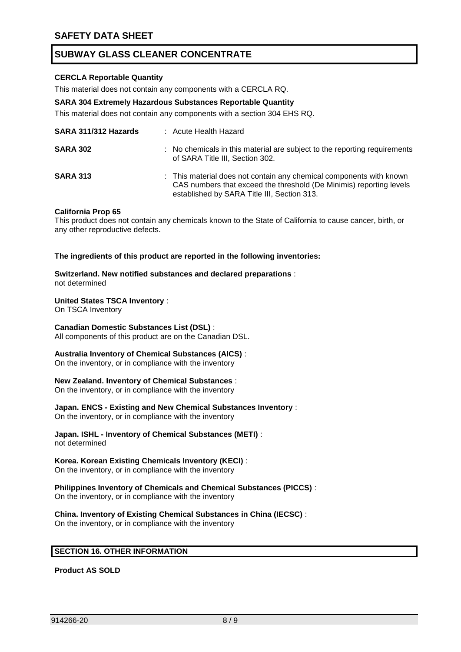#### **CERCLA Reportable Quantity**

This material does not contain any components with a CERCLA RQ.

#### **SARA 304 Extremely Hazardous Substances Reportable Quantity**

This material does not contain any components with a section 304 EHS RQ.

| SARA 311/312 Hazards | : Acute Health Hazard                                                                                                                                                                     |
|----------------------|-------------------------------------------------------------------------------------------------------------------------------------------------------------------------------------------|
| <b>SARA 302</b>      | : No chemicals in this material are subject to the reporting requirements<br>of SARA Title III, Section 302.                                                                              |
| <b>SARA 313</b>      | : This material does not contain any chemical components with known<br>CAS numbers that exceed the threshold (De Minimis) reporting levels<br>established by SARA Title III, Section 313. |

#### **California Prop 65**

This product does not contain any chemicals known to the State of California to cause cancer, birth, or any other reproductive defects.

**The ingredients of this product are reported in the following inventories:**

**Switzerland. New notified substances and declared preparations** : not determined

### **United States TSCA Inventory** :

On TSCA Inventory

#### **Canadian Domestic Substances List (DSL)** :

All components of this product are on the Canadian DSL.

#### **Australia Inventory of Chemical Substances (AICS)** :

On the inventory, or in compliance with the inventory

#### **New Zealand. Inventory of Chemical Substances** :

On the inventory, or in compliance with the inventory

### **Japan. ENCS - Existing and New Chemical Substances Inventory** :

On the inventory, or in compliance with the inventory

#### **Japan. ISHL - Inventory of Chemical Substances (METI)** : not determined

#### **Korea. Korean Existing Chemicals Inventory (KECI)** :

On the inventory, or in compliance with the inventory

## **Philippines Inventory of Chemicals and Chemical Substances (PICCS)** :

On the inventory, or in compliance with the inventory

**China. Inventory of Existing Chemical Substances in China (IECSC)** : On the inventory, or in compliance with the inventory

#### **SECTION 16. OTHER INFORMATION**

**Product AS SOLD**